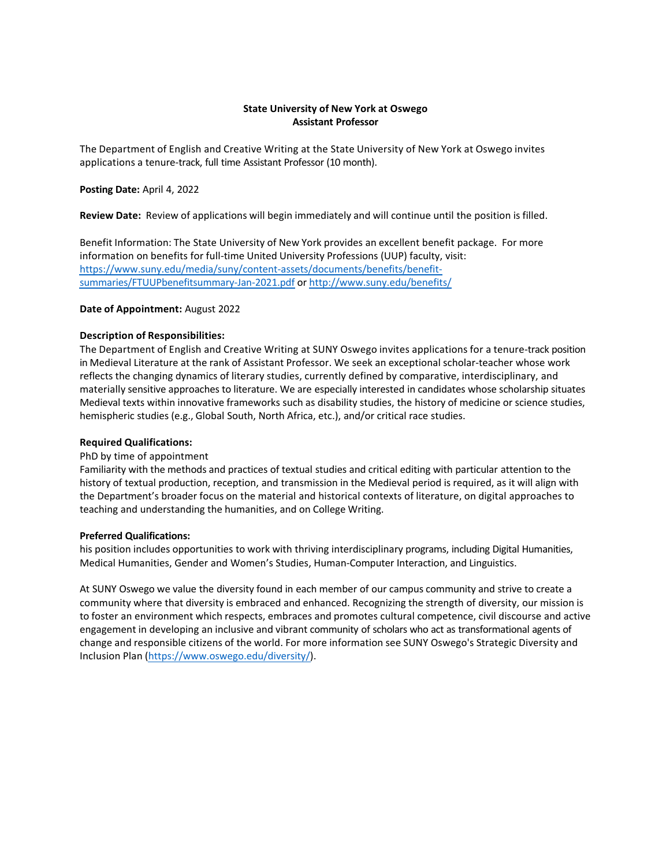## **State University of New York at Oswego Assistant Professor**

The Department of English and Creative Writing at the State University of New York at Oswego invites applications a tenure-track, full time Assistant Professor (10 month).

### **Posting Date:** April 4, 2022

**Review Date:** Review of applications will begin immediately and will continue until the position is filled.

Benefit Information: The State University of New York provides an excellent benefit package. For more information on benefits for full-time United University Professions (UUP) faculty, visit: https://www.suny.edu/media/suny/content-assets/documents/benefits/benefitsummaries/FTUUPbenefitsummary-Jan-2021.pdf or http://www.suny.edu/benefits/

## **Date of Appointment:** August 2022

## **Description of Responsibilities:**

The Department of English and Creative Writing at SUNY Oswego invites applications for a tenure-track position in Medieval Literature at the rank of Assistant Professor. We seek an exceptional scholar-teacher whose work reflects the changing dynamics of literary studies, currently defined by comparative, interdisciplinary, and materially sensitive approaches to literature. We are especially interested in candidates whose scholarship situates Medieval texts within innovative frameworks such as disability studies, the history of medicine or science studies, hemispheric studies (e.g., Global South, North Africa, etc.), and/or critical race studies.

#### **Required Qualifications:**

#### PhD by time of appointment

Familiarity with the methods and practices of textual studies and critical editing with particular attention to the history of textual production, reception, and transmission in the Medieval period is required, as it will align with the Department's broader focus on the material and historical contexts of literature, on digital approaches to teaching and understanding the humanities, and on College Writing.

#### **Preferred Qualifications:**

his position includes opportunities to work with thriving interdisciplinary programs, including Digital Humanities, Medical Humanities, Gender and Women's Studies, Human-Computer Interaction, and Linguistics.

At SUNY Oswego we value the diversity found in each member of our campus community and strive to create a community where that diversity is embraced and enhanced. Recognizing the strength of diversity, our mission is to foster an environment which respects, embraces and promotes cultural competence, civil discourse and active engagement in developing an inclusive and vibrant community of scholars who act as transformational agents of change and responsible citizens of the world. For more information see SUNY Oswego's Strategic Diversity and Inclusion Plan (https://www.oswego.edu/diversity/).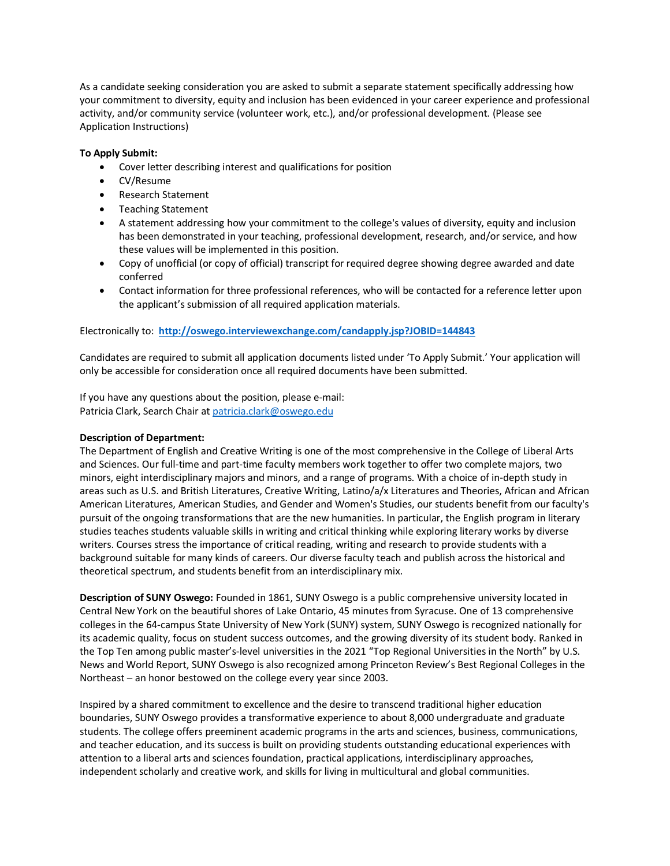As a candidate seeking consideration you are asked to submit a separate statement specifically addressing how your commitment to diversity, equity and inclusion has been evidenced in your career experience and professional activity, and/or community service (volunteer work, etc.), and/or professional development. (Please see Application Instructions)

# **To Apply Submit:**

- Cover letter describing interest and qualifications for position
- CV/Resume
- Research Statement
- Teaching Statement
- A statement addressing how your commitment to the college's values of diversity, equity and inclusion has been demonstrated in your teaching, professional development, research, and/or service, and how these values will be implemented in this position.
- Copy of unofficial (or copy of official) transcript for required degree showing degree awarded and date conferred
- Contact information for three professional references, who will be contacted for a reference letter upon the applicant's submission of all required application materials.

## Electronically to: **http://oswego.interviewexchange.com/candapply.jsp?JOBID=144843**

Candidates are required to submit all application documents listed under 'To Apply Submit.' Your application will only be accessible for consideration once all required documents have been submitted.

If you have any questions about the position, please e-mail: Patricia Clark, Search Chair at patricia.clark@oswego.edu

#### **Description of Department:**

The Department of English and Creative Writing is one of the most comprehensive in the College of Liberal Arts and Sciences. Our full-time and part-time faculty members work together to offer two complete majors, two minors, eight interdisciplinary majors and minors, and a range of programs. With a choice of in-depth study in areas such as U.S. and British Literatures, Creative Writing, Latino/a/x Literatures and Theories, African and African American Literatures, American Studies, and Gender and Women's Studies, our students benefit from our faculty's pursuit of the ongoing transformations that are the new humanities. In particular, the English program in literary studies teaches students valuable skills in writing and critical thinking while exploring literary works by diverse writers. Courses stress the importance of critical reading, writing and research to provide students with a background suitable for many kinds of careers. Our diverse faculty teach and publish across the historical and theoretical spectrum, and students benefit from an interdisciplinary mix.

**Description of SUNY Oswego:** Founded in 1861, SUNY Oswego is a public comprehensive university located in Central New York on the beautiful shores of Lake Ontario, 45 minutes from Syracuse. One of 13 comprehensive colleges in the 64-campus State University of New York (SUNY) system, SUNY Oswego is recognized nationally for its academic quality, focus on student success outcomes, and the growing diversity of its student body. Ranked in the Top Ten among public master's-level universities in the 2021 "Top Regional Universities in the North" by U.S. News and World Report, SUNY Oswego is also recognized among Princeton Review's Best Regional Colleges in the Northeast – an honor bestowed on the college every year since 2003.

Inspired by a shared commitment to excellence and the desire to transcend traditional higher education boundaries, SUNY Oswego provides a transformative experience to about 8,000 undergraduate and graduate students. The college offers preeminent academic programs in the arts and sciences, business, communications, and teacher education, and its success is built on providing students outstanding educational experiences with attention to a liberal arts and sciences foundation, practical applications, interdisciplinary approaches, independent scholarly and creative work, and skills for living in multicultural and global communities.